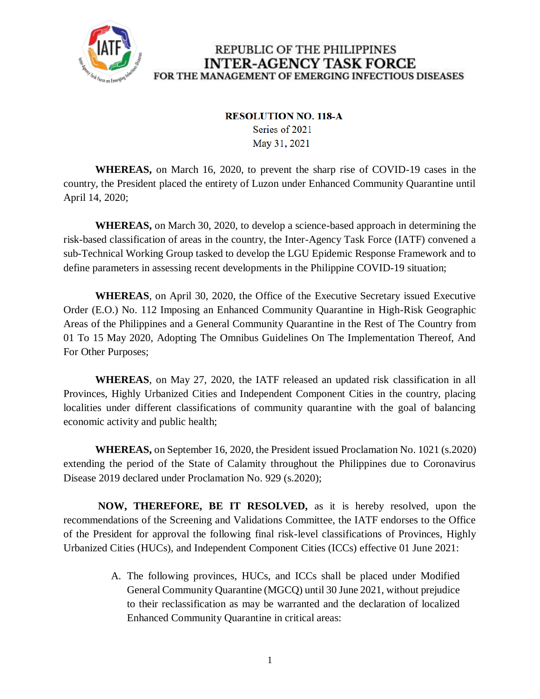

#### **RESOLUTION NO. 118-A**

Series of 2021 May 31, 2021

**WHEREAS,** on March 16, 2020, to prevent the sharp rise of COVID-19 cases in the country, the President placed the entirety of Luzon under Enhanced Community Quarantine until April 14, 2020;

**WHEREAS,** on March 30, 2020, to develop a science-based approach in determining the risk-based classification of areas in the country, the Inter-Agency Task Force (IATF) convened a sub-Technical Working Group tasked to develop the LGU Epidemic Response Framework and to define parameters in assessing recent developments in the Philippine COVID-19 situation;

**WHEREAS**, on April 30, 2020, the Office of the Executive Secretary issued Executive Order (E.O.) No. 112 Imposing an Enhanced Community Quarantine in High-Risk Geographic Areas of the Philippines and a General Community Quarantine in the Rest of The Country from 01 To 15 May 2020, Adopting The Omnibus Guidelines On The Implementation Thereof, And For Other Purposes;

**WHEREAS**, on May 27, 2020, the IATF released an updated risk classification in all Provinces, Highly Urbanized Cities and Independent Component Cities in the country, placing localities under different classifications of community quarantine with the goal of balancing economic activity and public health;

**WHEREAS,** on September 16, 2020, the President issued Proclamation No. 1021 (s.2020) extending the period of the State of Calamity throughout the Philippines due to Coronavirus Disease 2019 declared under Proclamation No. 929 (s.2020);

**NOW, THEREFORE, BE IT RESOLVED,** as it is hereby resolved, upon the recommendations of the Screening and Validations Committee, the IATF endorses to the Office of the President for approval the following final risk-level classifications of Provinces, Highly Urbanized Cities (HUCs), and Independent Component Cities (ICCs) effective 01 June 2021:

> A. The following provinces, HUCs, and ICCs shall be placed under Modified General Community Quarantine (MGCQ) until 30 June 2021, without prejudice to their reclassification as may be warranted and the declaration of localized Enhanced Community Quarantine in critical areas: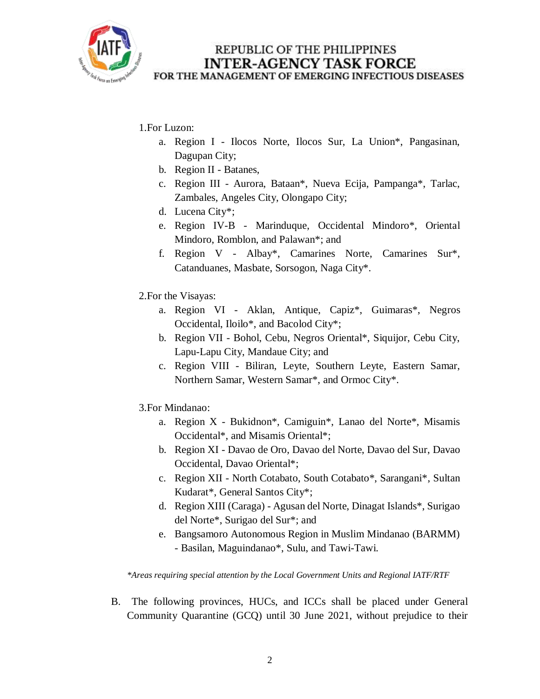

### 1.For Luzon:

- a. Region I Ilocos Norte, Ilocos Sur, La Union\*, Pangasinan, Dagupan City;
- b. Region II Batanes,
- c. Region III Aurora, Bataan\*, Nueva Ecija, Pampanga\*, Tarlac, Zambales, Angeles City, Olongapo City;
- d. Lucena City\*;
- e. Region IV-B Marinduque, Occidental Mindoro\*, Oriental Mindoro, Romblon, and Palawan\*; and
- f. Region V Albay\*, Camarines Norte, Camarines Sur\*, Catanduanes, Masbate, Sorsogon, Naga City\*.
- 2.For the Visayas:
	- a. Region VI Aklan, Antique, Capiz\*, Guimaras\*, Negros Occidental, Iloilo\*, and Bacolod City\*;
	- b. Region VII Bohol, Cebu, Negros Oriental\*, Siquijor, Cebu City, Lapu-Lapu City, Mandaue City; and
	- c. Region VIII Biliran, Leyte, Southern Leyte, Eastern Samar, Northern Samar, Western Samar\*, and Ormoc City\*.
- 3.For Mindanao:
	- a. Region X Bukidnon\*, Camiguin\*, Lanao del Norte\*, Misamis Occidental\*, and Misamis Oriental\*;
	- b. Region XI Davao de Oro, Davao del Norte, Davao del Sur, Davao Occidental, Davao Oriental\*;
	- c. Region XII North Cotabato, South Cotabato\*, Sarangani\*, Sultan Kudarat\*, General Santos City\*;
	- d. Region XIII (Caraga) Agusan del Norte, Dinagat Islands\*, Surigao del Norte\*, Surigao del Sur\*; and
	- e. Bangsamoro Autonomous Region in Muslim Mindanao (BARMM) - Basilan, Maguindanao\*, Sulu, and Tawi-Tawi.

*\*Areas requiring special attention by the Local Government Units and Regional IATF/RTF*

B. The following provinces, HUCs, and ICCs shall be placed under General Community Quarantine (GCQ) until 30 June 2021, without prejudice to their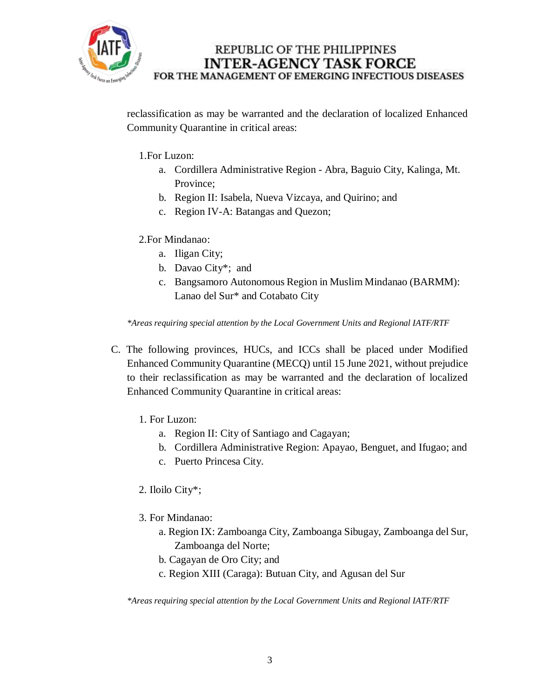

reclassification as may be warranted and the declaration of localized Enhanced Community Quarantine in critical areas:

1.For Luzon:

- a. Cordillera Administrative Region Abra, Baguio City, Kalinga, Mt. Province;
- b. Region II: Isabela, Nueva Vizcaya, and Quirino; and
- c. Region IV-A: Batangas and Quezon;
- 2.For Mindanao:
	- a. Iligan City;
	- b. Davao City\*; and
	- c. Bangsamoro Autonomous Region in Muslim Mindanao (BARMM): Lanao del Sur\* and Cotabato City

*\*Areas requiring special attention by the Local Government Units and Regional IATF/RTF*

- C. The following provinces, HUCs, and ICCs shall be placed under Modified Enhanced Community Quarantine (MECQ) until 15 June 2021, without prejudice to their reclassification as may be warranted and the declaration of localized Enhanced Community Quarantine in critical areas:
	- 1. For Luzon:
		- a. Region II: City of Santiago and Cagayan;
		- b. Cordillera Administrative Region: Apayao, Benguet, and Ifugao; and
		- c. Puerto Princesa City.
	- 2. Iloilo City\*;
	- 3. For Mindanao:
		- a. Region IX: Zamboanga City, Zamboanga Sibugay, Zamboanga del Sur, Zamboanga del Norte;
		- b. Cagayan de Oro City; and
		- c. Region XIII (Caraga): Butuan City, and Agusan del Sur

*\*Areas requiring special attention by the Local Government Units and Regional IATF/RTF*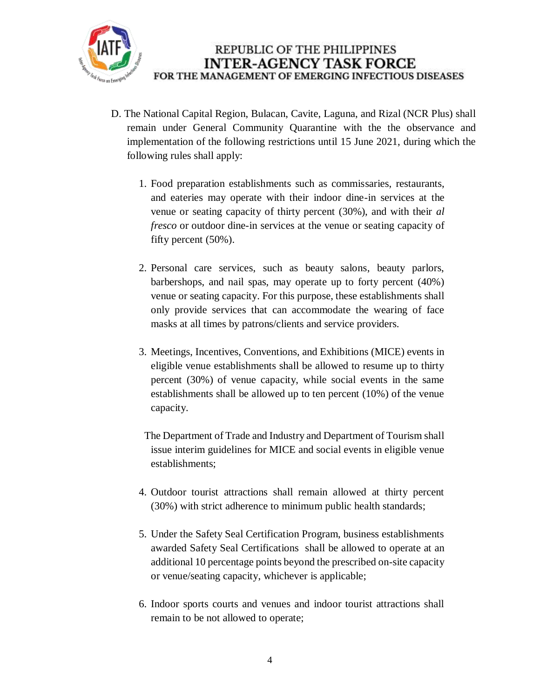

- D. The National Capital Region, Bulacan, Cavite, Laguna, and Rizal (NCR Plus) shall remain under General Community Quarantine with the the observance and implementation of the following restrictions until 15 June 2021, during which the following rules shall apply:
	- 1. Food preparation establishments such as commissaries, restaurants, and eateries may operate with their indoor dine-in services at the venue or seating capacity of thirty percent (30%), and with their *al fresco* or outdoor dine-in services at the venue or seating capacity of fifty percent (50%).
	- 2. Personal care services, such as beauty salons, beauty parlors, barbershops, and nail spas, may operate up to forty percent (40%) venue or seating capacity. For this purpose, these establishments shall only provide services that can accommodate the wearing of face masks at all times by patrons/clients and service providers.
	- 3. Meetings, Incentives, Conventions, and Exhibitions (MICE) events in eligible venue establishments shall be allowed to resume up to thirty percent (30%) of venue capacity, while social events in the same establishments shall be allowed up to ten percent (10%) of the venue capacity.
	- The Department of Trade and Industry and Department of Tourism shall issue interim guidelines for MICE and social events in eligible venue establishments;
	- 4. Outdoor tourist attractions shall remain allowed at thirty percent (30%) with strict adherence to minimum public health standards;
	- 5. Under the Safety Seal Certification Program, business establishments awarded Safety Seal Certifications shall be allowed to operate at an additional 10 percentage points beyond the prescribed on-site capacity or venue/seating capacity, whichever is applicable;
	- 6. Indoor sports courts and venues and indoor tourist attractions shall remain to be not allowed to operate;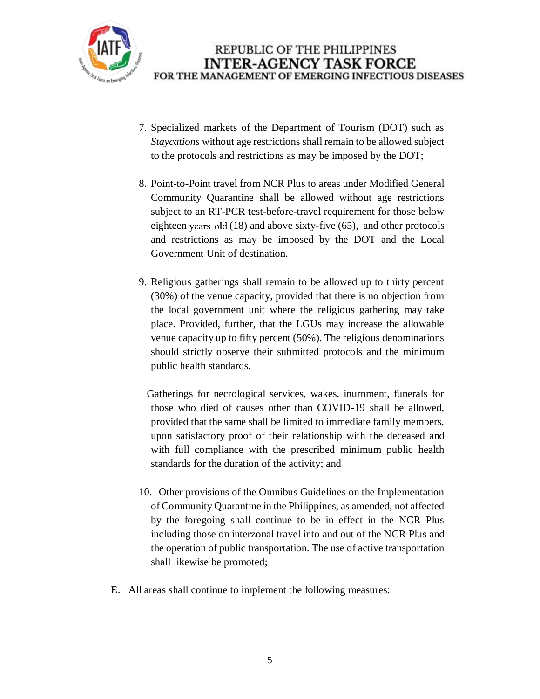

- 7. Specialized markets of the Department of Tourism (DOT) such as *Staycations* without age restrictions shall remain to be allowed subject to the protocols and restrictions as may be imposed by the DOT;
- 8. Point-to-Point travel from NCR Plus to areas under Modified General Community Quarantine shall be allowed without age restrictions subject to an RT-PCR test-before-travel requirement for those below eighteen years old  $(18)$  and above sixty-five  $(65)$ , and other protocols and restrictions as may be imposed by the DOT and the Local Government Unit of destination.
- 9. Religious gatherings shall remain to be allowed up to thirty percent (30%) of the venue capacity, provided that there is no objection from the local government unit where the religious gathering may take place. Provided, further, that the LGUs may increase the allowable venue capacity up to fifty percent (50%). The religious denominations should strictly observe their submitted protocols and the minimum public health standards.

 Gatherings for necrological services, wakes, inurnment, funerals for those who died of causes other than COVID-19 shall be allowed, provided that the same shall be limited to immediate family members, upon satisfactory proof of their relationship with the deceased and with full compliance with the prescribed minimum public health standards for the duration of the activity; and

- 10. Other provisions of the Omnibus Guidelines on the Implementation of Community Quarantine in the Philippines, as amended, not affected by the foregoing shall continue to be in effect in the NCR Plus including those on interzonal travel into and out of the NCR Plus and the operation of public transportation. The use of active transportation shall likewise be promoted;
- E. All areas shall continue to implement the following measures: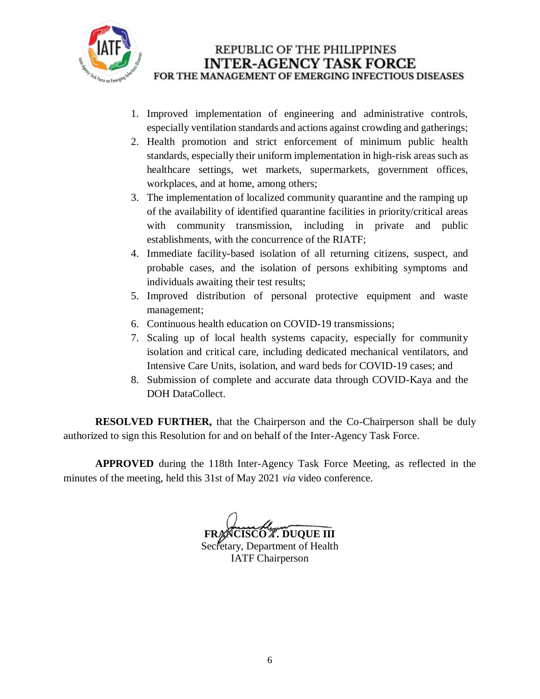

- 1. Improved implementation of engineering and administrative controls, especially ventilation standards and actions against crowding and gatherings;
- 2. Health promotion and strict enforcement of minimum public health standards, especially their uniform implementation in high-risk areas such as healthcare settings, wet markets, supermarkets, government offices, workplaces, and at home, among others;
- 3. The implementation of localized community quarantine and the ramping up of the availability of identified quarantine facilities in priority/critical areas with community transmission, including in private and public establishments, with the concurrence of the RIATF;
- 4. Immediate facility-based isolation of all returning citizens, suspect, and probable cases, and the isolation of persons exhibiting symptoms and individuals awaiting their test results;
- 5. Improved distribution of personal protective equipment and waste management;
- 6. Continuous health education on COVID-19 transmissions;
- 7. Scaling up of local health systems capacity, especially for community isolation and critical care, including dedicated mechanical ventilators, and Intensive Care Units, isolation, and ward beds for COVID-19 cases; and
- 8. Submission of complete and accurate data through COVID-Kaya and the DOH DataCollect.

**RESOLVED FURTHER,** that the Chairperson and the Co-Chairperson shall be duly authorized to sign this Resolution for and on behalf of the Inter-Agency Task Force.

**APPROVED** during the 118th Inter-Agency Task Force Meeting, as reflected in the minutes of the meeting, held this 31st of May 2021 *via* video conference.

**CISCO A. DUQUE III** Secretary, Department of Health IATF Chairperson